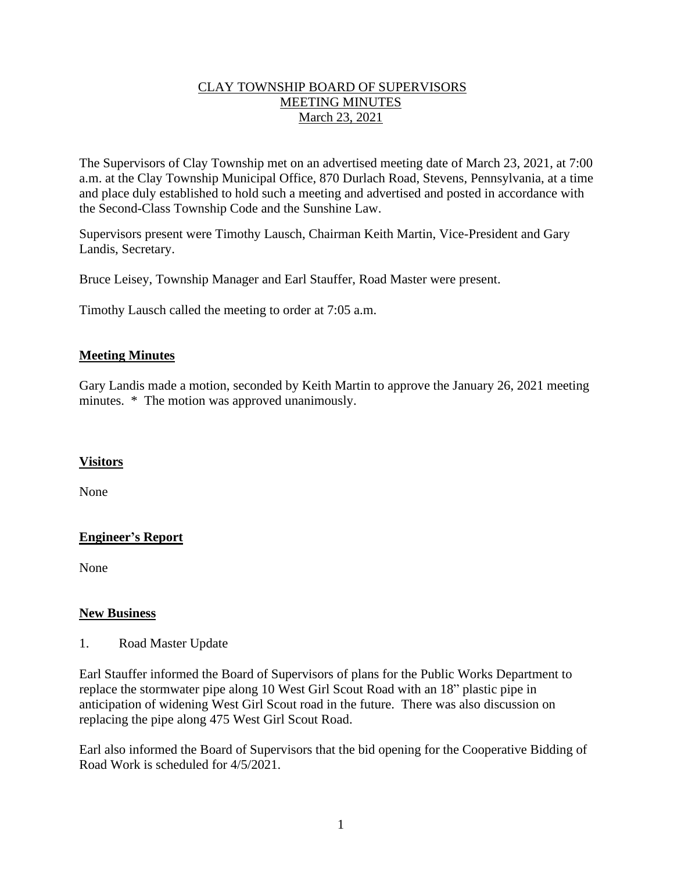### CLAY TOWNSHIP BOARD OF SUPERVISORS MEETING MINUTES March 23, 2021

The Supervisors of Clay Township met on an advertised meeting date of March 23, 2021, at 7:00 a.m. at the Clay Township Municipal Office, 870 Durlach Road, Stevens, Pennsylvania, at a time and place duly established to hold such a meeting and advertised and posted in accordance with the Second-Class Township Code and the Sunshine Law.

Supervisors present were Timothy Lausch, Chairman Keith Martin, Vice-President and Gary Landis, Secretary.

Bruce Leisey, Township Manager and Earl Stauffer, Road Master were present.

Timothy Lausch called the meeting to order at 7:05 a.m.

## **Meeting Minutes**

Gary Landis made a motion, seconded by Keith Martin to approve the January 26, 2021 meeting minutes. \* The motion was approved unanimously.

#### **Visitors**

None

## **Engineer's Report**

None

#### **New Business**

1. Road Master Update

Earl Stauffer informed the Board of Supervisors of plans for the Public Works Department to replace the stormwater pipe along 10 West Girl Scout Road with an 18" plastic pipe in anticipation of widening West Girl Scout road in the future. There was also discussion on replacing the pipe along 475 West Girl Scout Road.

Earl also informed the Board of Supervisors that the bid opening for the Cooperative Bidding of Road Work is scheduled for 4/5/2021.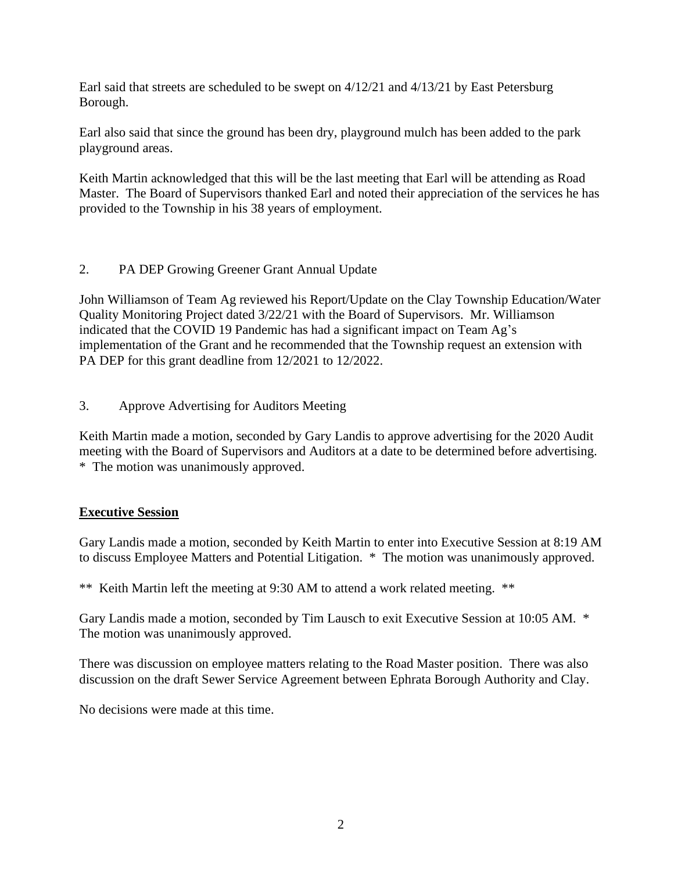Earl said that streets are scheduled to be swept on 4/12/21 and 4/13/21 by East Petersburg Borough.

Earl also said that since the ground has been dry, playground mulch has been added to the park playground areas.

Keith Martin acknowledged that this will be the last meeting that Earl will be attending as Road Master. The Board of Supervisors thanked Earl and noted their appreciation of the services he has provided to the Township in his 38 years of employment.

## 2. PA DEP Growing Greener Grant Annual Update

John Williamson of Team Ag reviewed his Report/Update on the Clay Township Education/Water Quality Monitoring Project dated 3/22/21 with the Board of Supervisors. Mr. Williamson indicated that the COVID 19 Pandemic has had a significant impact on Team Ag's implementation of the Grant and he recommended that the Township request an extension with PA DEP for this grant deadline from 12/2021 to 12/2022.

3. Approve Advertising for Auditors Meeting

Keith Martin made a motion, seconded by Gary Landis to approve advertising for the 2020 Audit meeting with the Board of Supervisors and Auditors at a date to be determined before advertising. \* The motion was unanimously approved.

## **Executive Session**

Gary Landis made a motion, seconded by Keith Martin to enter into Executive Session at 8:19 AM to discuss Employee Matters and Potential Litigation. \* The motion was unanimously approved.

\*\* Keith Martin left the meeting at 9:30 AM to attend a work related meeting. \*\*

Gary Landis made a motion, seconded by Tim Lausch to exit Executive Session at 10:05 AM. \* The motion was unanimously approved.

There was discussion on employee matters relating to the Road Master position. There was also discussion on the draft Sewer Service Agreement between Ephrata Borough Authority and Clay.

No decisions were made at this time.